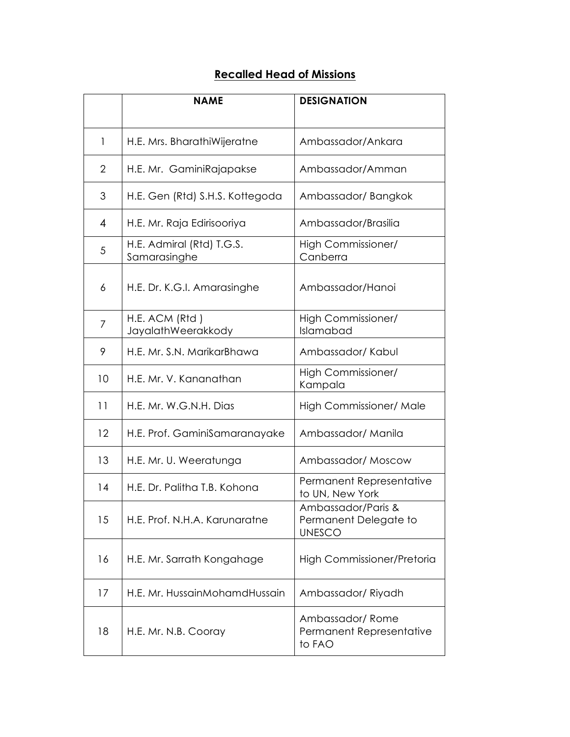## **Recalled Head of Missions**

|                | <b>NAME</b>                               | <b>DESIGNATION</b>                                           |
|----------------|-------------------------------------------|--------------------------------------------------------------|
| 1              | H.E. Mrs. BharathiWijeratne               | Ambassador/Ankara                                            |
| $\overline{2}$ | H.E. Mr. GaminiRajapakse                  | Ambassador/Amman                                             |
| 3              | H.E. Gen (Rtd) S.H.S. Kottegoda           | Ambassador/Bangkok                                           |
| 4              | H.E. Mr. Raja Edirisooriya                | Ambassador/Brasilia                                          |
| 5              | H.E. Admiral (Rtd) T.G.S.<br>Samarasinghe | High Commissioner/<br>Canberra                               |
| 6              | H.E. Dr. K.G.I. Amarasinghe               | Ambassador/Hanoi                                             |
| 7              | H.E. ACM (Rtd)<br>JayalathWeerakkody      | High Commissioner/<br>Islamabad                              |
| 9              | H.E. Mr. S.N. MarikarBhawa                | Ambassador/Kabul                                             |
| 10             | H.E. Mr. V. Kananathan                    | High Commissioner/<br>Kampala                                |
| 11             | H.E. Mr. W.G.N.H. Dias                    | High Commissioner/ Male                                      |
| 12             | H.E. Prof. GaminiSamaranayake             | Ambassador/ Manila                                           |
| 13             | H.E. Mr. U. Weeratunga                    | Ambassador/Moscow                                            |
| 14             | H.E. Dr. Palitha T.B. Kohona              | Permanent Representative<br>to UN, New York                  |
| 15             | H.E. Prof. N.H.A. Karunaratne             | Ambassador/Paris &<br>Permanent Delegate to<br><b>UNESCO</b> |
| 16             | H.E. Mr. Sarrath Kongahage                | High Commissioner/Pretoria                                   |
| 17             | H.E. Mr. HussainMohamdHussain             | Ambassador/Riyadh                                            |
| 18             | H.E. Mr. N.B. Cooray                      | Ambassador/Rome<br>Permanent Representative<br>to FAO        |